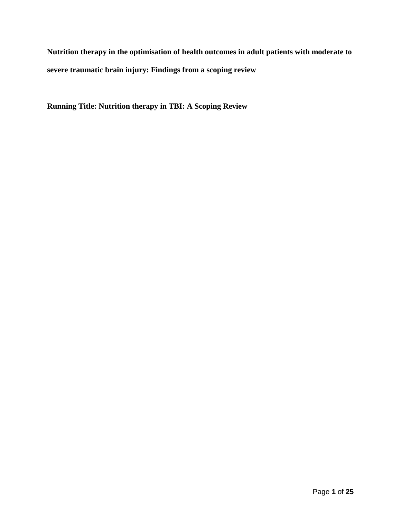**Nutrition therapy in the optimisation of health outcomes in adult patients with moderate to severe traumatic brain injury: Findings from a scoping review**

**Running Title: Nutrition therapy in TBI: A Scoping Review**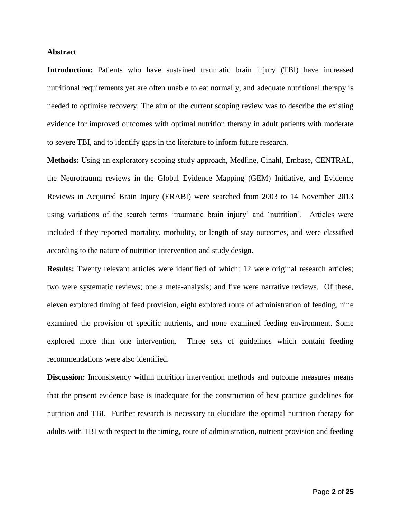## **Abstract**

**Introduction:** Patients who have sustained traumatic brain injury (TBI) have increased nutritional requirements yet are often unable to eat normally, and adequate nutritional therapy is needed to optimise recovery. The aim of the current scoping review was to describe the existing evidence for improved outcomes with optimal nutrition therapy in adult patients with moderate to severe TBI, and to identify gaps in the literature to inform future research.

**Methods:** Using an exploratory scoping study approach, Medline, Cinahl, Embase, CENTRAL, the Neurotrauma reviews in the Global Evidence Mapping (GEM) Initiative, and Evidence Reviews in Acquired Brain Injury (ERABI) were searched from 2003 to 14 November 2013 using variations of the search terms 'traumatic brain injury' and 'nutrition'. Articles were included if they reported mortality, morbidity, or length of stay outcomes, and were classified according to the nature of nutrition intervention and study design.

**Results:** Twenty relevant articles were identified of which: 12 were original research articles; two were systematic reviews; one a meta-analysis; and five were narrative reviews. Of these, eleven explored timing of feed provision, eight explored route of administration of feeding, nine examined the provision of specific nutrients, and none examined feeding environment. Some explored more than one intervention. Three sets of guidelines which contain feeding recommendations were also identified.

**Discussion:** Inconsistency within nutrition intervention methods and outcome measures means that the present evidence base is inadequate for the construction of best practice guidelines for nutrition and TBI. Further research is necessary to elucidate the optimal nutrition therapy for adults with TBI with respect to the timing, route of administration, nutrient provision and feeding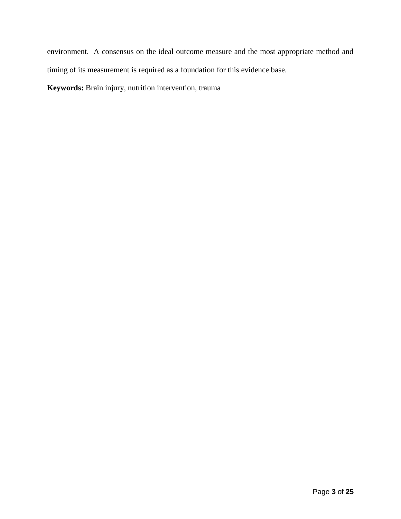environment. A consensus on the ideal outcome measure and the most appropriate method and timing of its measurement is required as a foundation for this evidence base.

**Keywords:** Brain injury, nutrition intervention, trauma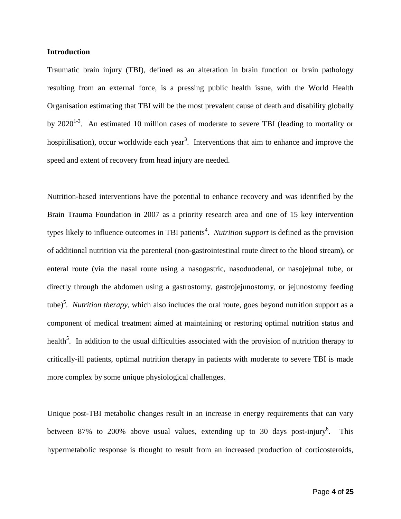### **Introduction**

Traumatic brain injury (TBI), defined as an alteration in brain function or brain pathology resulting from an external force, is a pressing public health issue, with the World Health Organisation estimating that TBI will be the most prevalent cause of death and disability globally by  $2020^{1-3}$  $2020^{1-3}$  $2020^{1-3}$ . An estimated 10 million cases of moderate to severe TBI (leading to mortality or hospitilisation), occu[r](#page-19-1) worldwide each year<sup>3</sup>. Interventions that aim to enhance and improve the speed and extent of recovery from head injury are needed.

Nutrition-based interventions have the potential to enhance recovery and was identified by the Brain Trauma Foundation in 2007 as a priority research area and one of 15 key intervention types likely to influence outcomes in TBI patients<sup>[4](#page-19-2)</sup>. *Nutrition support* is defined as the provision of additional nutrition via the parenteral (non-gastrointestinal route direct to the blood stream), or enteral route (via the nasal route using a nasogastric, nasoduodenal, or nasojejunal tube, or directly through the abdomen using a gastrostomy, gastrojejunostomy, or jejunostomy feeding tube[\)](#page-19-3)<sup>5</sup>. *Nutrition therapy*, which also includes the oral route, goes beyond nutrition support as a component of medical treatment aimed at maintaining or restoring optimal nutrition status and health<sup>5</sup>[.](#page-19-3) In addition to the usual difficulties associated with the provision of nutrition therapy to critically-ill patients, optimal nutrition therapy in patients with moderate to severe TBI is made more complex by some unique physiological challenges.

Unique post-TBI metabolic changes result in an increase in energy requirements that can vary between 87% to 200% above usual values, extending up to 30 days post-injury<sup>[6](#page-19-4)</sup>. This hypermetabolic response is thought to result from an increased production of corticosteroids,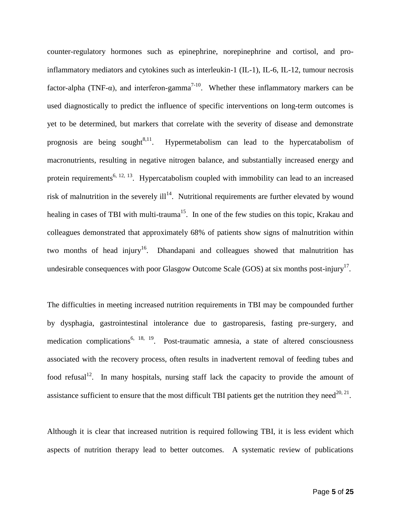counter-regulatory hormones such as epinephrine, norepinephrine and cortisol, and proinflammatory mediators and cytokines such as interleukin-1 (IL-1), IL-6, IL-12, tumour necrosis factor-alpha (TNF- $\alpha$ ), and interferon-gamma<sup>[7-10](#page-19-5)</sup>. Whether these inflammatory markers can be used diagnostically to predict the influence of specific interventions on long-term outcomes is yet to be determined, but markers that correlate with the severity of disease and demonstrate prognosis are being sought  $8,11$  $8,11$ . . Hypermetabolism can lead to the hypercatabolism of macronutrients, resulting in negative nitrogen balance, and substantially increased energy and protein requirements<sup>[6,](#page-19-4) [12,](#page-20-0) [13](#page-20-1)</sup>. Hypercatabolism coupled with immobility can lead to an increased risk of malnutrition in the severely  $\mathrm{i} \mathrm{ll}^{14}$  $\mathrm{i} \mathrm{ll}^{14}$  $\mathrm{i} \mathrm{ll}^{14}$ . Nutritional requirements are further elevated by wound healing in cases of TBI with multi-trauma<sup>[15](#page-20-3)</sup>. In one of the few studies on this topic, Krakau and colleagues demonstrated that approximately 68% of patients show signs of malnutrition within two months of head injury<sup>[16](#page-20-4)</sup>. Dhandapani and colleagues showed that malnutrition has undesirable consequences with poor Glasgow Outcome Scale (GOS) at six months post-injury<sup>[17](#page-20-5)</sup>.

The difficulties in meeting increased nutrition requirements in TBI may be compounded further by dysphagia, gastrointestinal intolerance due to gastroparesis, fasting pre-surgery, and medication complications<sup>[6,](#page-19-4) [18,](#page-20-6) [19](#page-20-7)</sup>. Post-traumatic amnesia, a state of altered consciousness associated with the recovery process, often results in inadvertent removal of feeding tubes and food refusal<sup>[12](#page-20-0)</sup>. In many hospitals, nursing staff lack the capacity to provide the amount of assistance sufficient to ensure that the most difficult TBI patients get the nutrition they need<sup>[20,](#page-20-8) [21](#page-20-9)</sup>.

Although it is clear that increased nutrition is required following TBI, it is less evident which aspects of nutrition therapy lead to better outcomes. A systematic review of publications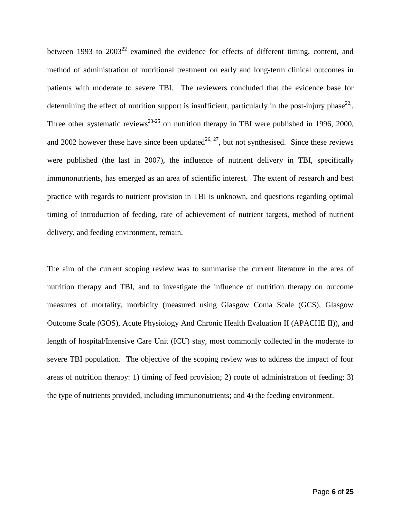between 1993 to  $2003^{22}$  $2003^{22}$  $2003^{22}$  examined the evidence for effects of different timing, content, and method of administration of nutritional treatment on early and long-term clinical outcomes in patients with moderate to severe TBI. The reviewers concluded that the evidence base for determining the effect of nutrition support is insufficient, particularly in the post-injury phase<sup>22</sup>. Three other systematic reviews<sup>23-25</sup> on nutrition therapy in TBI were published in 1996, 2000, and 2002 however these have since been updated<sup>[26,](#page-21-0) [27](#page-21-1)</sup>, but not synthesised. Since these reviews were published (the last in 2007), the influence of nutrient delivery in TBI, specifically immunonutrients, has emerged as an area of scientific interest. The extent of research and best practice with regards to nutrient provision in TBI is unknown, and questions regarding optimal timing of introduction of feeding, rate of achievement of nutrient targets, method of nutrient delivery, and feeding environment, remain.

The aim of the current scoping review was to summarise the current literature in the area of nutrition therapy and TBI, and to investigate the influence of nutrition therapy on outcome measures of mortality, morbidity (measured using Glasgow Coma Scale (GCS), Glasgow Outcome Scale (GOS), Acute Physiology And Chronic Health Evaluation II (APACHE II)), and length of hospital/Intensive Care Unit (ICU) stay, most commonly collected in the moderate to severe TBI population. The objective of the scoping review was to address the impact of four areas of nutrition therapy: 1) timing of feed provision; 2) route of administration of feeding; 3) the type of nutrients provided, including immunonutrients; and 4) the feeding environment.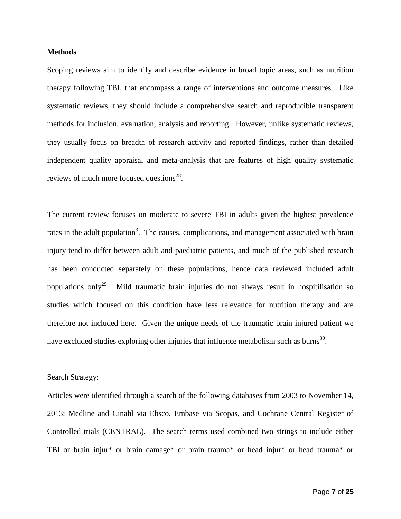## **Methods**

Scoping reviews aim to identify and describe evidence in broad topic areas, such as nutrition therapy following TBI, that encompass a range of interventions and outcome measures. Like systematic reviews, they should include a comprehensive search and reproducible transparent methods for inclusion, evaluation, analysis and reporting. However, unlike systematic reviews, they usually focus on breadth of research activity and reported findings, rather than detailed independent quality appraisal and meta-analysis that are features of high quality systematic reviews of much more focused questions $^{28}$  $^{28}$  $^{28}$ .

The current review focuses on moderate to severe TBI in adults given the highest prevalence rates in the adult population<sup>[3](#page-19-1)</sup>. The causes, complications, and management associated with brain injury tend to differ between adult and paediatric patients, and much of the published research has been conducted separately on these populations, hence data reviewed included adult populations only<sup>[29](#page-21-3)</sup>. Mild traumatic brain injuries do not always result in hospitilisation so studies which focused on this condition have less relevance for nutrition therapy and are therefore not included here. Given the unique needs of the traumatic brain injured patient we have excluded studies exploring other injuries that influence metabolism such as burns<sup>[30](#page-21-4)</sup>.

#### Search Strategy:

Articles were identified through a search of the following databases from 2003 to November 14, 2013: Medline and Cinahl via Ebsco, Embase via Scopas, and Cochrane Central Register of Controlled trials (CENTRAL). The search terms used combined two strings to include either TBI or brain injur\* or brain damage\* or brain trauma\* or head injur\* or head trauma\* or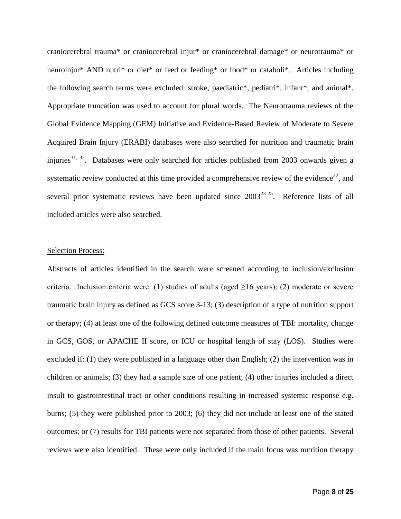craniocerebral trauma\* or craniocerebral injur\* or craniocerebral damage\* or neurotrauma\* or neuroinjur\* AND nutri\* or diet\* or feed or feeding\* or food\* or cataboli\*. Articles including the following search terms were excluded: stroke, paediatric\*, pediatri\*, infant\*, and animal\*. Appropriate truncation was used to account for plural words. The Neurotrauma reviews of the Global Evidence Mapping (GEM) Initiative and Evidence-Based Review of Moderate to Severe Acquired Brain Injury (ERABI) databases were also searched for nutrition and traumatic brain injuries<sup>[31,](#page-21-5) [32](#page-21-6)</sup>. Databases were only searched for articles published from 2003 onwards given a systematic review conducted at this time provided a comprehensive review of the evidence<sup>[22](#page-20-10)</sup>, and several prior systematic reviews have been updated since  $2003^{23-25}$ . Reference lists of all included articles were also searched.

### Selection Process:

Abstracts of articles identified in the search were screened according to inclusion/exclusion criteria. Inclusion criteria were: (1) studies of adults (aged  $\geq$ 16 years); (2) moderate or severe traumatic brain injury as defined as GCS score 3-13; (3) description of a type of nutrition support or therapy; (4) at least one of the following defined outcome measures of TBI: mortality, change in GCS, GOS, or APACHE II score, or ICU or hospital length of stay (LOS). Studies were excluded if: (1) they were published in a language other than English; (2) the intervention was in children or animals; (3) they had a sample size of one patient; (4) other injuries included a direct insult to gastrointestinal tract or other conditions resulting in increased systemic response e.g. burns; (5) they were published prior to 2003; (6) they did not include at least one of the stated outcomes; or (7) results for TBI patients were not separated from those of other patients. Several reviews were also identified. These were only included if the main focus was nutrition therapy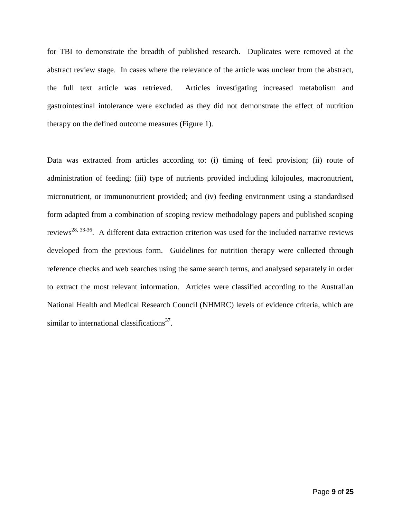for TBI to demonstrate the breadth of published research. Duplicates were removed at the abstract review stage. In cases where the relevance of the article was unclear from the abstract, the full text article was retrieved. Articles investigating increased metabolism and gastrointestinal intolerance were excluded as they did not demonstrate the effect of nutrition therapy on the defined outcome measures (Figure 1).

Data was extracted from articles according to: (i) timing of feed provision; (ii) route of administration of feeding; (iii) type of nutrients provided including kilojoules, macronutrient, micronutrient, or immunonutrient provided; and (iv) feeding environment using a standardised form adapted from a combination of scoping review methodology papers and published scoping reviews<sup>[28,](#page-21-2) [33-36](#page-21-7)</sup>. A different data extraction criterion was used for the included narrative reviews developed from the previous form. Guidelines for nutrition therapy were collected through reference checks and web searches using the same search terms, and analysed separately in order to extract the most relevant information. Articles were classified according to the Australian National Health and Medical Research Council (NHMRC) levels of evidence criteria, which are similar to international classifications $37$ .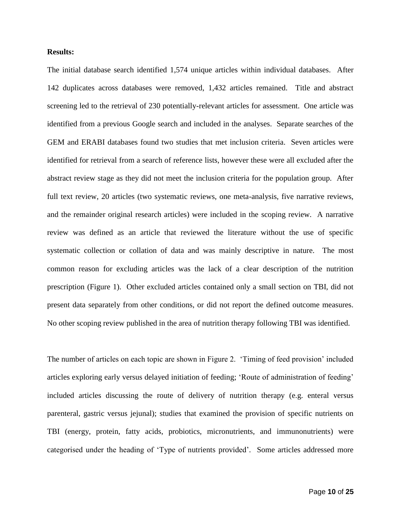## **Results:**

The initial database search identified 1,574 unique articles within individual databases. After 142 duplicates across databases were removed, 1,432 articles remained. Title and abstract screening led to the retrieval of 230 potentially-relevant articles for assessment. One article was identified from a previous Google search and included in the analyses. Separate searches of the GEM and ERABI databases found two studies that met inclusion criteria. Seven articles were identified for retrieval from a search of reference lists, however these were all excluded after the abstract review stage as they did not meet the inclusion criteria for the population group. After full text review, 20 articles (two systematic reviews, one meta-analysis, five narrative reviews, and the remainder original research articles) were included in the scoping review. A narrative review was defined as an article that reviewed the literature without the use of specific systematic collection or collation of data and was mainly descriptive in nature. The most common reason for excluding articles was the lack of a clear description of the nutrition prescription (Figure 1). Other excluded articles contained only a small section on TBI, did not present data separately from other conditions, or did not report the defined outcome measures. No other scoping review published in the area of nutrition therapy following TBI was identified.

The number of articles on each topic are shown in Figure 2. 'Timing of feed provision' included articles exploring early versus delayed initiation of feeding; 'Route of administration of feeding' included articles discussing the route of delivery of nutrition therapy (e.g. enteral versus parenteral, gastric versus jejunal); studies that examined the provision of specific nutrients on TBI (energy, protein, fatty acids, probiotics, micronutrients, and immunonutrients) were categorised under the heading of 'Type of nutrients provided'. Some articles addressed more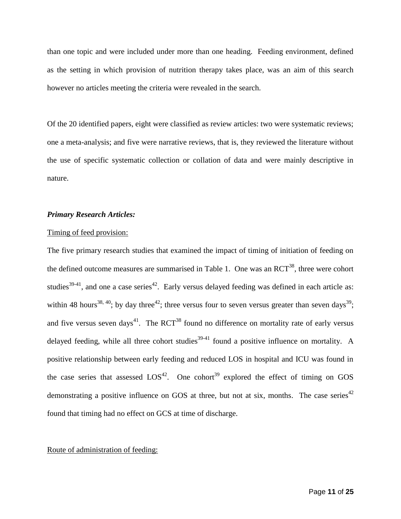than one topic and were included under more than one heading. Feeding environment, defined as the setting in which provision of nutrition therapy takes place, was an aim of this search however no articles meeting the criteria were revealed in the search.

Of the 20 identified papers, eight were classified as review articles: two were systematic reviews; one a meta-analysis; and five were narrative reviews, that is, they reviewed the literature without the use of specific systematic collection or collation of data and were mainly descriptive in nature.

## *Primary Research Articles:*

#### Timing of feed provision:

The five primary research studies that examined the impact of timing of initiation of feeding on the defined outcome measures are summarised in Table 1. One was an  ${RCT}^{38}$  ${RCT}^{38}$  ${RCT}^{38}$ , three were cohort studies<sup>[39-41](#page-22-2)</sup>, and one a case series<sup>[42](#page-22-3)</sup>. Early versus delayed feeding was defined in each article as: within 48 hours<sup>[38,](#page-22-1) [40](#page-22-4)</sup>; by day three<sup>[42](#page-22-3)</sup>; three versus four to seven versus greater than seven days<sup>[39](#page-22-2)</sup>; and five versus seven days<sup>[41](#page-22-5)</sup>. The RCT<sup>[38](#page-22-1)</sup> found no difference on mortality rate of early versus delayed feeding, while all three cohort studies<sup>[39-41](#page-22-2)</sup> found a positive influence on mortality. A positive relationship between early feeding and reduced LOS in hospital and ICU was found in the case series that assessed  $LOS^{42}$  $LOS^{42}$  $LOS^{42}$ . One cohort<sup>39</sup> explored the effect of timing on GOS demonstrating a positive influence on GOS at three, but not at six, months. The case series<sup>[42](#page-22-3)</sup> found that timing had no effect on GCS at time of discharge.

### Route of administration of feeding: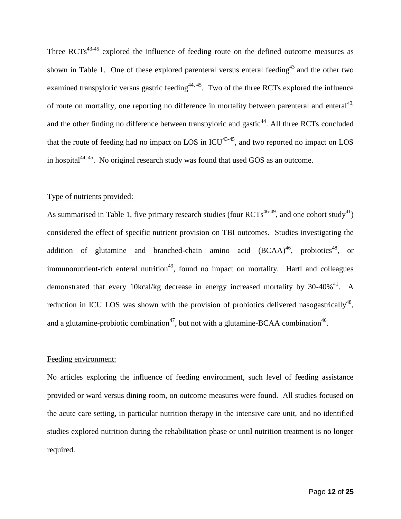Three  $RCTs^{43.45}$  explored the influence of feeding route on the defined outcome measures as shown in Table 1. One of these explored parenteral versus enteral feeding<sup>[43](#page-22-6)</sup> and the other two examined transpyloric versus gastric feeding<sup> $44, 45$  $44, 45$ </sup>. Two of the three RCTs explored the influence of route on mortality, one reporting no difference in mortality between parenteral and enteral<sup>43,</sup> and the other finding no difference between transpyloric and gastic<sup>44</sup>. All three RCTs concluded that the route of feeding had no impact on LOS in  $ICU^{43-45}$  $ICU^{43-45}$  $ICU^{43-45}$ , and two reported no impact on LOS in hospital $44,45$ . No original research study was found that used GOS as an outcome.

### Type of nutrients provided:

As summarised in Table 1, five primary research studies (four  $RCTs^{46-49}$  $RCTs^{46-49}$  $RCTs^{46-49}$ , and one cohort study<sup>[41](#page-22-5)</sup>) considered the effect of specific nutrient provision on TBI outcomes. Studies investigating the addition of glutamine and branched-chain amino acid  $(BCAA)^{46}$  $(BCAA)^{46}$  $(BCAA)^{46}$ , probiotics<sup>[48](#page-23-2)</sup>, or immunonutrient-rich enteral nutrition<sup>[49](#page-23-3)</sup>, found no impact on mortality. Hartl and colleagues demonstrated that every 10kcal/kg decrease in energy increased mortality by  $30-40\%$ <sup>[41](#page-22-5)</sup>. A reduction in ICU LOS was shown with the provision of probiotics delivered nasogastrically<sup>[48](#page-23-2)</sup>, and a glutamine-probiotic combination<sup>[47](#page-23-4)</sup>, but not with a glutamine-BCAA combination<sup>[46](#page-23-1)</sup>.

#### Feeding environment:

No articles exploring the influence of feeding environment, such level of feeding assistance provided or ward versus dining room, on outcome measures were found. All studies focused on the acute care setting, in particular nutrition therapy in the intensive care unit, and no identified studies explored nutrition during the rehabilitation phase or until nutrition treatment is no longer required.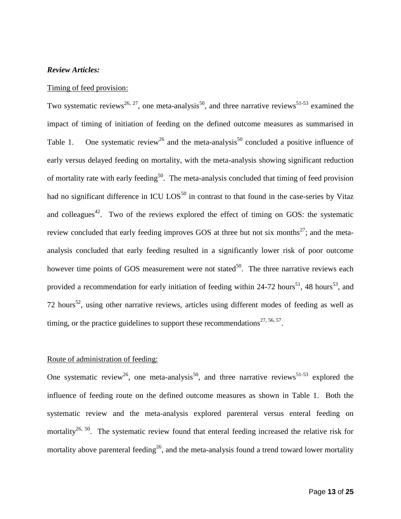## *Review Articles:*

### Timing of feed provision:

Two systematic reviews<sup>[26,](#page-21-0) [27](#page-21-1)</sup>, one meta-analysis<sup>[50](#page-23-5)</sup>, and three narrative reviews<sup>[51-53](#page-23-6)</sup> examined the impact of timing of initiation of feeding on the defined outcome measures as summarised in Table 1. One systematic review<sup>[26](#page-21-0)</sup> and the meta-analysis<sup>[50](#page-23-5)</sup> concluded a positive influence of early versus delayed feeding on mortality, with the meta-analysis showing significant reduction of mortality rate with early feeding<sup>[50](#page-23-5)</sup>. The meta-analysis concluded that timing of feed provision had no significant difference in ICU  $\text{LOS}^{50}$  $\text{LOS}^{50}$  $\text{LOS}^{50}$  in contrast to that found in the case-series by Vitaz and colleagues<sup>[42](#page-22-3)</sup>. Two of the reviews explored the effect of timing on GOS: the systematic review concluded that early feeding improves GOS at three but not six months<sup>[27](#page-21-1)</sup>; and the metaanalysis concluded that early feeding resulted in a significantly lower risk of poor outcome however time points of GOS measurement were not stated $50$ . The three narrative reviews each provided a recommendation for early initiation of feeding within 24-72 hours<sup>[51](#page-23-6)</sup>, 48 hours<sup>[53](#page-23-7)</sup>, and 72 hours<sup>[52](#page-23-8)</sup>, using other narrative reviews, articles using different modes of feeding as well as timing, or the practice guidelines to support these recommendations<sup>27, 56, 57</sup>.

## Route of administration of feeding:

One systematic review<sup>[26](#page-21-0)</sup>, one meta-analysis<sup>[50](#page-23-5)</sup>, and three narrative reviews<sup>[51-53](#page-23-6)</sup> explored the influence of feeding route on the defined outcome measures as shown in Table 1. Both the systematic review and the meta-analysis explored parenteral versus enteral feeding on mortality<sup>[26,](#page-21-0) [50](#page-23-5)</sup>. The systematic review found that enteral feeding increased the relative risk for mortality above parenteral feeding<sup>[26](#page-21-0)</sup>, and the meta-analysis found a trend toward lower mortality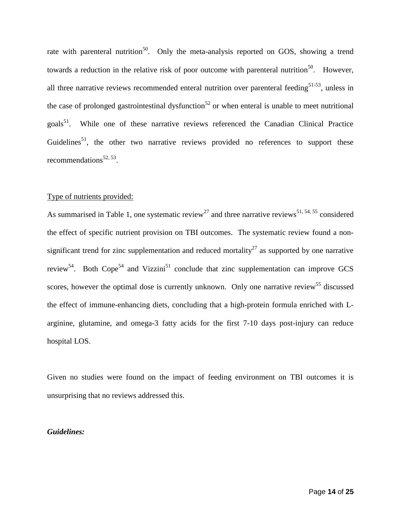rate with parenteral nutrition<sup>[50](#page-23-5)</sup>. Only the meta-analysis reported on GOS, showing a trend towards a reduction in the relative risk of poor outcome with parenteral nutrition<sup>[50](#page-23-5)</sup>. However, all three narrative reviews recommended enteral nutrition over parenteral feeding<sup>[51-53](#page-23-6)</sup>, unless in the case of prolonged gastrointestinal dysfunction<sup>[52](#page-23-8)</sup> or when enteral is unable to meet nutritional goals<sup>[51](#page-23-6)</sup>. While one of these narrative reviews referenced the Canadian Clinical Practice Guidelines<sup>[51](#page-23-6)</sup>, the other two narrative reviews provided no references to support these recommendations<sup>[52,](#page-23-8) [53](#page-23-7)</sup>.

#### Type of nutrients provided:

As summarised in Table 1, one systematic review<sup>[27](#page-21-1)</sup> and three narrative reviews<sup>51, 54, 55</sup> considered the effect of specific nutrient provision on TBI outcomes. The systematic review found a non-significant trend for zinc supplementation and reduced mortality<sup>[27](#page-21-1)</sup> as supported by one narrative review<sup>[54](#page-23-9)</sup>. Both Cope<sup>54</sup> and Vizzini<sup>[51](#page-23-6)</sup> conclude that zinc supplementation can improve GCS scores, however the optimal dose is currently unknown. Only one narrative review<sup>55</sup> discussed the effect of immune-enhancing diets, concluding that a high-protein formula enriched with Larginine, glutamine, and omega-3 fatty acids for the first 7-10 days post-injury can reduce hospital LOS.

Given no studies were found on the impact of feeding environment on TBI outcomes it is unsurprising that no reviews addressed this.

## *Guidelines:*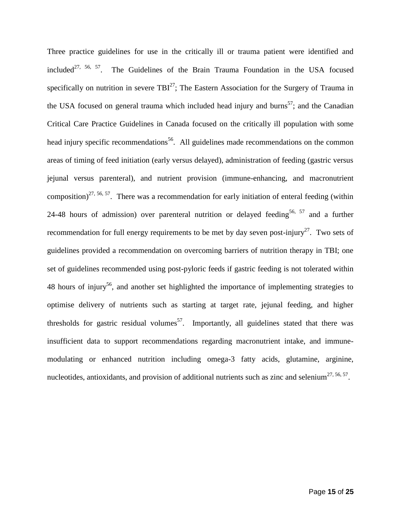Three practice guidelines for use in the critically ill or trauma patient were identified and included<sup>27, 56, 57</sup>. The Guidelines of the Brain Trauma Foundation in the USA focused specifically on nutrition in severe  $TBI^{27}$  $TBI^{27}$  $TBI^{27}$ ; The Eastern Association for the Surgery of Trauma in the USA focused on general trauma which included head injury and burns<sup>[57](#page-24-0)</sup>; and the Canadian Critical Care Practice Guidelines in Canada focused on the critically ill population with some head injury specific recommendations<sup>56</sup>. All guidelines made recommendations on the common areas of timing of feed initiation (early versus delayed), administration of feeding (gastric versus jejunal versus parenteral), and nutrient provision (immune-enhancing, and macronutrient composition)<sup>27, 56, 57</sup>. There was a recommendation for early initiation of enteral feeding (within 24-48 hours of admission) over parenteral nutrition or delayed feeding<sup>56, 57</sup> and a further recommendation for full energy requirements to be met by day seven post-injury<sup>[27](#page-21-1)</sup>. Two sets of guidelines provided a recommendation on overcoming barriers of nutrition therapy in TBI; one set of guidelines recommended using post-pyloric feeds if gastric feeding is not tolerated within 48 hours of injury<sup>56</sup>, and another set highlighted the importance of implementing strategies to optimise delivery of nutrients such as starting at target rate, jejunal feeding, and higher thresholds for gastric residual volumes<sup>57</sup>. Importantly, all guidelines stated that there was insufficient data to support recommendations regarding macronutrient intake, and immunemodulating or enhanced nutrition including omega-3 fatty acids, glutamine, arginine, nucleotides, antioxidants, and provision of additional nutrients such as zinc and selenium<sup>27, 56, 57</sup>.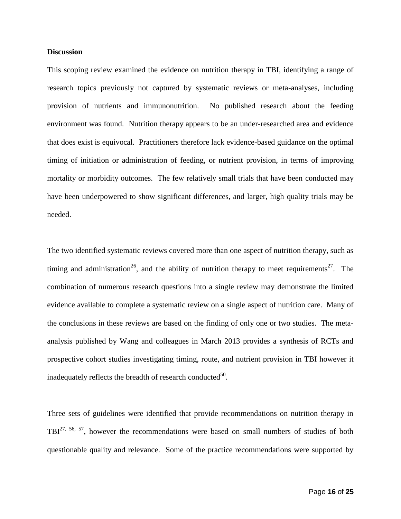## **Discussion**

This scoping review examined the evidence on nutrition therapy in TBI, identifying a range of research topics previously not captured by systematic reviews or meta-analyses, including provision of nutrients and immunonutrition. No published research about the feeding environment was found. Nutrition therapy appears to be an under-researched area and evidence that does exist is equivocal. Practitioners therefore lack evidence-based guidance on the optimal timing of initiation or administration of feeding, or nutrient provision, in terms of improving mortality or morbidity outcomes. The few relatively small trials that have been conducted may have been underpowered to show significant differences, and larger, high quality trials may be needed.

The two identified systematic reviews covered more than one aspect of nutrition therapy, such as timing and administration<sup>[26](#page-21-0)</sup>, and the ability of nutrition therapy to meet requirements<sup>[27](#page-21-1)</sup>. The combination of numerous research questions into a single review may demonstrate the limited evidence available to complete a systematic review on a single aspect of nutrition care. Many of the conclusions in these reviews are based on the finding of only one or two studies. The metaanalysis published by Wang and colleagues in March 2013 provides a synthesis of RCTs and prospective cohort studies investigating timing, route, and nutrient provision in TBI however it inadequately reflects the breadth of research conducted $^{50}$  $^{50}$  $^{50}$ .

Three sets of guidelines were identified that provide recommendations on nutrition therapy in TBI<sup>27, 56, 57</sup>, however the recommendations were based on small numbers of studies of both questionable quality and relevance. Some of the practice recommendations were supported by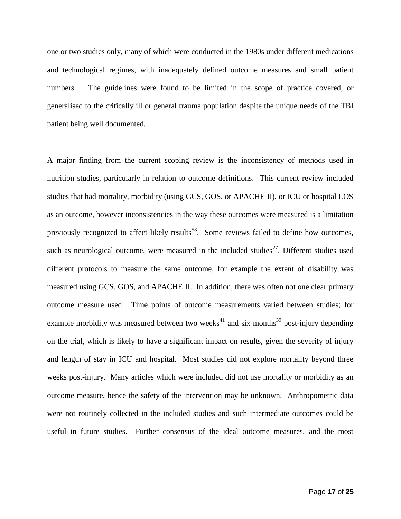one or two studies only, many of which were conducted in the 1980s under different medications and technological regimes, with inadequately defined outcome measures and small patient numbers. The guidelines were found to be limited in the scope of practice covered, or generalised to the critically ill or general trauma population despite the unique needs of the TBI patient being well documented.

A major finding from the current scoping review is the inconsistency of methods used in nutrition studies, particularly in relation to outcome definitions. This current review included studies that had mortality, morbidity (using GCS, GOS, or APACHE II), or ICU or hospital LOS as an outcome, however inconsistencies in the way these outcomes were measured is a limitation previously recognized to affect likely results<sup>58</sup>. Some reviews failed to define how outcomes, such as neurological outcome, were measured in the included studies<sup>[27](#page-21-1)</sup>. Different studies used different protocols to measure the same outcome, for example the extent of disability was measured using GCS, GOS, and APACHE II. In addition, there was often not one clear primary outcome measure used. Time points of outcome measurements varied between studies; for example morbidity was measured between two weeks $41$  and six months $39$  post-injury depending on the trial, which is likely to have a significant impact on results, given the severity of injury and length of stay in ICU and hospital. Most studies did not explore mortality beyond three weeks post-injury. Many articles which were included did not use mortality or morbidity as an outcome measure, hence the safety of the intervention may be unknown. Anthropometric data were not routinely collected in the included studies and such intermediate outcomes could be useful in future studies. Further consensus of the ideal outcome measures, and the most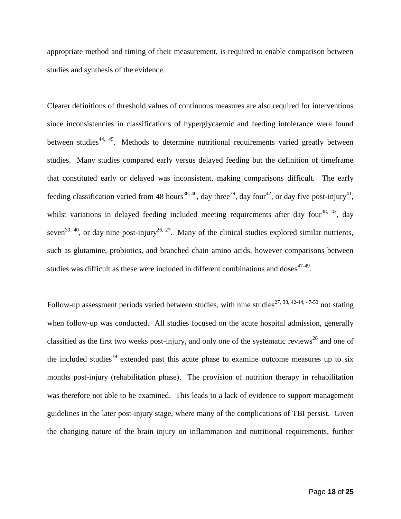appropriate method and timing of their measurement, is required to enable comparison between studies and synthesis of the evidence.

Clearer definitions of threshold values of continuous measures are also required for interventions since inconsistencies in classifications of hyperglycaemic and feeding intolerance were found between studies<sup>[44,](#page-22-7) [45](#page-23-0)</sup>. Methods to determine nutritional requirements varied greatly between studies. Many studies compared early versus delayed feeding but the definition of timeframe that constituted early or delayed was inconsistent, making comparisons difficult. The early feeding classification varied from 48 hours<sup>[38,](#page-22-1) [40](#page-22-4)</sup>, day three<sup>[39](#page-22-2)</sup>, day four<sup>[42](#page-22-3)</sup>, or day five post-injury<sup>[41](#page-22-5)</sup>, whilst variations in delayed feeding included meeting requirements after day four<sup>[38,](#page-22-1) [42](#page-22-3)</sup>, day seven<sup>[39,](#page-22-2) [40](#page-22-4)</sup>, or day nine post-injury<sup>[26,](#page-21-0) [27](#page-21-1)</sup>. Many of the clinical studies explored similar nutrients, such as glutamine, probiotics, and branched chain amino acids, however comparisons between studies was difficult as these were included in different combinations and doses $47-49$ .

Follow-up assessment periods varied between studies, with nine studies<sup>[27,](#page-21-1) [38,](#page-22-1) [42-44,](#page-22-3) [47-50](#page-23-4)</sup> not stating when follow-up was conducted. All studies focused on the acute hospital admission, generally classified as the first two weeks post-injury, and only one of the systematic reviews<sup>[26](#page-21-0)</sup> and one of the included studies<sup>[39](#page-22-2)</sup> extended past this acute phase to examine outcome measures up to six months post-injury (rehabilitation phase). The provision of nutrition therapy in rehabilitation was therefore not able to be examined. This leads to a lack of evidence to support management guidelines in the later post-injury stage, where many of the complications of TBI persist. Given the changing nature of the brain injury on inflammation and nutritional requirements, further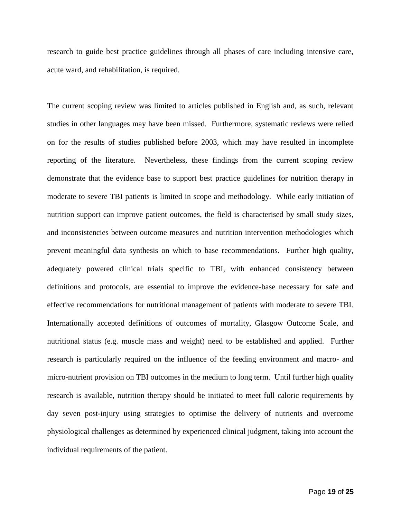research to guide best practice guidelines through all phases of care including intensive care, acute ward, and rehabilitation, is required.

The current scoping review was limited to articles published in English and, as such, relevant studies in other languages may have been missed. Furthermore, systematic reviews were relied on for the results of studies published before 2003, which may have resulted in incomplete reporting of the literature. Nevertheless, these findings from the current scoping review demonstrate that the evidence base to support best practice guidelines for nutrition therapy in moderate to severe TBI patients is limited in scope and methodology. While early initiation of nutrition support can improve patient outcomes, the field is characterised by small study sizes, and inconsistencies between outcome measures and nutrition intervention methodologies which prevent meaningful data synthesis on which to base recommendations. Further high quality, adequately powered clinical trials specific to TBI, with enhanced consistency between definitions and protocols, are essential to improve the evidence-base necessary for safe and effective recommendations for nutritional management of patients with moderate to severe TBI. Internationally accepted definitions of outcomes of mortality, Glasgow Outcome Scale, and nutritional status (e.g. muscle mass and weight) need to be established and applied. Further research is particularly required on the influence of the feeding environment and macro- and micro-nutrient provision on TBI outcomes in the medium to long term. Until further high quality research is available, nutrition therapy should be initiated to meet full caloric requirements by day seven post-injury using strategies to optimise the delivery of nutrients and overcome physiological challenges as determined by experienced clinical judgment, taking into account the individual requirements of the patient.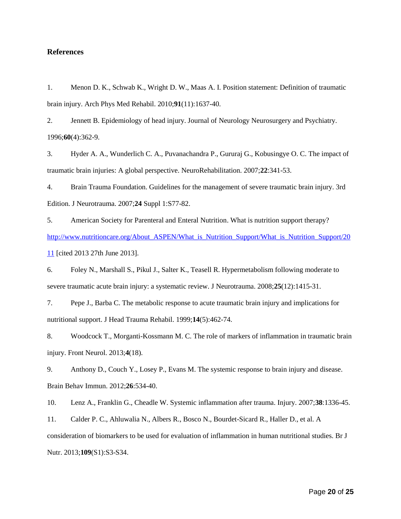# **References**

<span id="page-19-0"></span>1. Menon D. K., Schwab K., Wright D. W., Maas A. I. Position statement: Definition of traumatic brain injury. Arch Phys Med Rehabil. 2010;**91**(11):1637-40.

2. Jennett B. Epidemiology of head injury. Journal of Neurology Neurosurgery and Psychiatry. 1996;**60**(4):362-9.

<span id="page-19-1"></span>3. Hyder A. A., Wunderlich C. A., Puvanachandra P., Gururaj G., Kobusingye O. C. The impact of traumatic brain injuries: A global perspective. NeuroRehabilitation. 2007;**22**:341-53.

<span id="page-19-2"></span>4. Brain Trauma Foundation. Guidelines for the management of severe traumatic brain injury. 3rd Edition. J Neurotrauma. 2007;**24** Suppl 1:S77-82.

<span id="page-19-3"></span>5. American Society for Parenteral and Enteral Nutrition. What is nutrition support therapy? [http://www.nutritioncare.org/About\\_ASPEN/What\\_is\\_Nutrition\\_Support/What\\_is\\_Nutrition\\_Support/20](http://www.nutritioncare.org/About_ASPEN/What_is_Nutrition_Support/What_is_Nutrition_Support/2011) [11](http://www.nutritioncare.org/About_ASPEN/What_is_Nutrition_Support/What_is_Nutrition_Support/2011) [cited 2013 27th June 2013].

<span id="page-19-4"></span>6. Foley N., Marshall S., Pikul J., Salter K., Teasell R. Hypermetabolism following moderate to severe traumatic acute brain injury: a systematic review. J Neurotrauma. 2008;**25**(12):1415-31.

<span id="page-19-5"></span>7. Pepe J., Barba C. The metabolic response to acute traumatic brain injury and implications for nutritional support. J Head Trauma Rehabil. 1999;**14**(5):462-74.

<span id="page-19-6"></span>8. Woodcock T., Morganti-Kossmann M. C. The role of markers of inflammation in traumatic brain injury. Front Neurol. 2013;**4**(18).

9. Anthony D., Couch Y., Losey P., Evans M. The systemic response to brain injury and disease. Brain Behav Immun. 2012;**26**:534-40.

10. Lenz A., Franklin G., Cheadle W. Systemic inflammation after trauma. Injury. 2007;**38**:1336-45.

<span id="page-19-7"></span>11. Calder P. C., Ahluwalia N., Albers R., Bosco N., Bourdet-Sicard R., Haller D., et al. A consideration of biomarkers to be used for evaluation of inflammation in human nutritional studies. Br J Nutr. 2013;**109**(S1):S3-S34.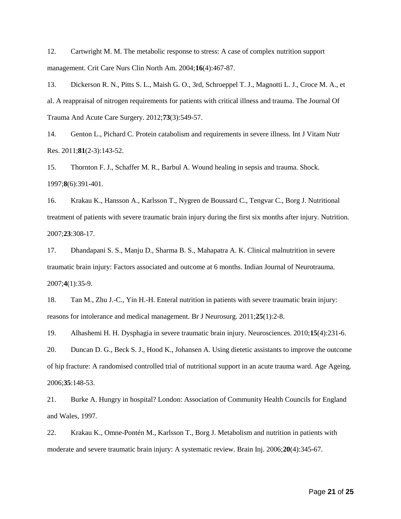<span id="page-20-0"></span>12. Cartwright M. M. The metabolic response to stress: A case of complex nutrition support management. Crit Care Nurs Clin North Am. 2004;**16**(4):467-87.

<span id="page-20-1"></span>13. Dickerson R. N., Pitts S. L., Maish G. O., 3rd, Schroeppel T. J., Magnotti L. J., Croce M. A., et al. A reappraisal of nitrogen requirements for patients with critical illness and trauma. The Journal Of Trauma And Acute Care Surgery. 2012;**73**(3):549-57.

<span id="page-20-2"></span>14. Genton L., Pichard C. Protein catabolism and requirements in severe illness. Int J Vitam Nutr Res. 2011;**81**(2-3):143-52.

<span id="page-20-3"></span>15. Thornton F. J., Schaffer M. R., Barbul A. Wound healing in sepsis and trauma. Shock. 1997;**8**(6):391-401.

<span id="page-20-4"></span>16. Krakau K., Hansson A., Karlsson T., Nygren de Boussard C., Tengvar C., Borg J. Nutritional treatment of patients with severe traumatic brain injury during the first six months after injury. Nutrition. 2007;**23**:308-17.

<span id="page-20-5"></span>17. Dhandapani S. S., Manju D., Sharma B. S., Mahapatra A. K. Clinical malnutrition in severe traumatic brain injury: Factors associated and outcome at 6 months. Indian Journal of Neurotrauma. 2007;**4**(1):35-9.

<span id="page-20-6"></span>18. Tan M., Zhu J.-C., Yin H.-H. Enteral nutrition in patients with severe traumatic brain injury: reasons for intolerance and medical management. Br J Neurosurg. 2011;**25**(1):2-8.

<span id="page-20-7"></span>19. Alhashemi H. H. Dysphagia in severe traumatic brain injury. Neurosciences. 2010;**15**(4):231-6.

<span id="page-20-8"></span>20. Duncan D. G., Beck S. J., Hood K., Johansen A. Using dietetic assistants to improve the outcome of hip fracture: A randomised controlled trial of nutritional support in an acute trauma ward. Age Ageing. 2006;**35**:148-53.

<span id="page-20-9"></span>21. Burke A. Hungry in hospital? London: Association of Community Health Councils for England and Wales, 1997.

<span id="page-20-10"></span>22. Krakau K., Omne-Pontén M., Karlsson T., Borg J. Metabolism and nutrition in patients with moderate and severe traumatic brain injury: A systematic review. Brain Inj. 2006;**20**(4):345-67.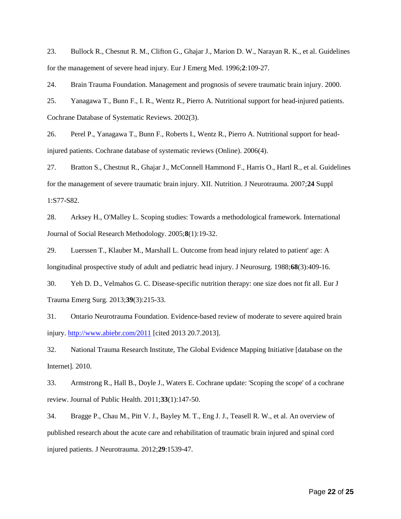23. Bullock R., Chesnut R. M., Clifton G., Ghajar J., Marion D. W., Narayan R. K., et al. Guidelines for the management of severe head injury. Eur J Emerg Med. 1996;**2**:109-27.

24. Brain Trauma Foundation. Management and prognosis of severe traumatic brain injury. 2000.

<span id="page-21-0"></span>25. Yanagawa T., Bunn F., I. R., Wentz R., Pierro A. Nutritional support for head-injured patients. Cochrane Database of Systematic Reviews. 2002(3).

26. Perel P., Yanagawa T., Bunn F., Roberts I., Wentz R., Pierro A. Nutritional support for headinjured patients. Cochrane database of systematic reviews (Online). 2006(4).

<span id="page-21-1"></span>27. Bratton S., Chestnut R., Ghajar J., McConnell Hammond F., Harris O., Hartl R., et al. Guidelines for the management of severe traumatic brain injury. XII. Nutrition. J Neurotrauma. 2007;**24** Suppl 1:S77-S82.

<span id="page-21-2"></span>28. Arksey H., O'Malley L. Scoping studies: Towards a methodological framework. International Journal of Social Research Methodology. 2005;**8**(1):19-32.

<span id="page-21-3"></span>29. Luerssen T., Klauber M., Marshall L. Outcome from head injury related to patient' age: A longitudinal prospective study of adult and pediatric head injury. J Neurosurg. 1988;**68**(3):409-16.

<span id="page-21-4"></span>30. Yeh D. D., Velmahos G. C. Disease-specific nutrition therapy: one size does not fit all. Eur J Trauma Emerg Surg. 2013;**39**(3):215-33.

<span id="page-21-5"></span>31. Ontario Neurotrauma Foundation. Evidence-based review of moderate to severe aquired brain injury.<http://www.abiebr.com/2011> [cited 2013 20.7.2013].

<span id="page-21-6"></span>32. National Trauma Research Institute, The Global Evidence Mapping Initiative [database on the Internet]. 2010.

<span id="page-21-7"></span>33. Armstrong R., Hall B., Doyle J., Waters E. Cochrane update: 'Scoping the scope' of a cochrane review. Journal of Public Health. 2011;**33**(1):147-50.

34. Bragge P., Chau M., Pitt V. J., Bayley M. T., Eng J. J., Teasell R. W., et al. An overview of published research about the acute care and rehabilitation of traumatic brain injured and spinal cord injured patients. J Neurotrauma. 2012;**29**:1539-47.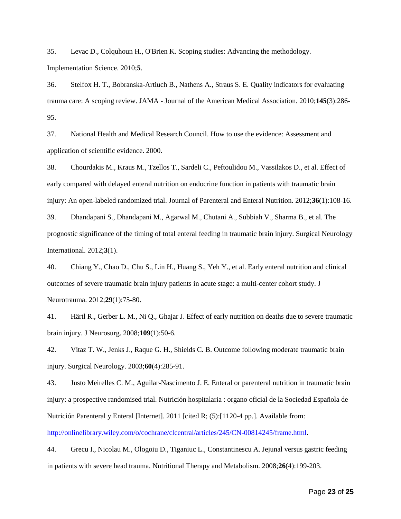35. Levac D., Colquhoun H., O'Brien K. Scoping studies: Advancing the methodology. Implementation Science. 2010;**5**.

36. Stelfox H. T., Bobranska-Artiuch B., Nathens A., Straus S. E. Quality indicators for evaluating trauma care: A scoping review. JAMA - Journal of the American Medical Association. 2010;**145**(3):286- 95.

<span id="page-22-0"></span>37. National Health and Medical Research Council. How to use the evidence: Assessment and application of scientific evidence. 2000.

<span id="page-22-1"></span>38. Chourdakis M., Kraus M., Tzellos T., Sardeli C., Peftoulidou M., Vassilakos D., et al. Effect of early compared with delayed enteral nutrition on endocrine function in patients with traumatic brain injury: An open-labeled randomized trial. Journal of Parenteral and Enteral Nutrition. 2012;**36**(1):108-16.

<span id="page-22-2"></span>39. Dhandapani S., Dhandapani M., Agarwal M., Chutani A., Subbiah V., Sharma B., et al. The prognostic significance of the timing of total enteral feeding in traumatic brain injury. Surgical Neurology International. 2012;**3**(1).

<span id="page-22-4"></span>40. Chiang Y., Chao D., Chu S., Lin H., Huang S., Yeh Y., et al. Early enteral nutrition and clinical outcomes of severe traumatic brain injury patients in acute stage: a multi-center cohort study. J Neurotrauma. 2012;**29**(1):75-80.

<span id="page-22-5"></span>41. Härtl R., Gerber L. M., Ni Q., Ghajar J. Effect of early nutrition on deaths due to severe traumatic brain injury. J Neurosurg. 2008;**109**(1):50-6.

<span id="page-22-3"></span>42. Vitaz T. W., Jenks J., Raque G. H., Shields C. B. Outcome following moderate traumatic brain injury. Surgical Neurology. 2003;**60**(4):285-91.

<span id="page-22-6"></span>43. Justo Meirelles C. M., Aguilar-Nascimento J. E. Enteral or parenteral nutrition in traumatic brain injury: a prospective randomised trial. Nutrición hospitalaria : organo oficial de la Sociedad Española de Nutrición Parenteral y Enteral [Internet]. 2011 [cited R; (5):[1120-4 pp.]. Available from:

[http://onlinelibrary.wiley.com/o/cochrane/clcentral/articles/245/CN-00814245/frame.html.](http://onlinelibrary.wiley.com/o/cochrane/clcentral/articles/245/CN-00814245/frame.html)

<span id="page-22-7"></span>44. Grecu I., Nicolau M., Ologoiu D., Tiganiuc L., Constantinescu A. Jejunal versus gastric feeding in patients with severe head trauma. Nutritional Therapy and Metabolism. 2008;**26**(4):199-203.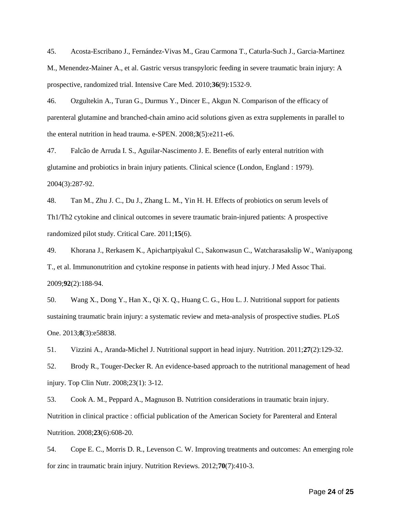<span id="page-23-0"></span>45. Acosta-Escribano J., Fernández-Vivas M., Grau Carmona T., Caturla-Such J., Garcia-Martinez M., Menendez-Mainer A., et al. Gastric versus transpyloric feeding in severe traumatic brain injury: A prospective, randomized trial. Intensive Care Med. 2010;**36**(9):1532-9.

<span id="page-23-1"></span>46. Ozgultekin A., Turan G., Durmus Y., Dincer E., Akgun N. Comparison of the efficacy of parenteral glutamine and branched-chain amino acid solutions given as extra supplements in parallel to the enteral nutrition in head trauma. e-SPEN. 2008;**3**(5):e211-e6.

<span id="page-23-4"></span>47. Falcão de Arruda I. S., Aguilar-Nascimento J. E. Benefits of early enteral nutrition with glutamine and probiotics in brain injury patients. Clinical science (London, England : 1979). 2004(3):287-92.

<span id="page-23-2"></span>48. Tan M., Zhu J. C., Du J., Zhang L. M., Yin H. H. Effects of probiotics on serum levels of Th1/Th2 cytokine and clinical outcomes in severe traumatic brain-injured patients: A prospective randomized pilot study. Critical Care. 2011;**15**(6).

<span id="page-23-3"></span>49. Khorana J., Rerkasem K., Apichartpiyakul C., Sakonwasun C., Watcharasakslip W., Waniyapong T., et al. Immunonutrition and cytokine response in patients with head injury. J Med Assoc Thai. 2009;**92**(2):188-94.

<span id="page-23-5"></span>50. Wang X., Dong Y., Han X., Qi X. Q., Huang C. G., Hou L. J. Nutritional support for patients sustaining traumatic brain injury: a systematic review and meta-analysis of prospective studies. PLoS One. 2013;**8**(3):e58838.

<span id="page-23-6"></span>51. Vizzini A., Aranda-Michel J. Nutritional support in head injury. Nutrition. 2011;**27**(2):129-32.

<span id="page-23-8"></span>52. Brody R., Touger-Decker R. An evidence-based approach to the nutritional management of head injury. Top Clin Nutr. 2008;23(1): 3-12.

<span id="page-23-7"></span>53. Cook A. M., Peppard A., Magnuson B. Nutrition considerations in traumatic brain injury. Nutrition in clinical practice : official publication of the American Society for Parenteral and Enteral Nutrition. 2008;**23**(6):608-20.

<span id="page-23-9"></span>54. Cope E. C., Morris D. R., Levenson C. W. Improving treatments and outcomes: An emerging role for zinc in traumatic brain injury. Nutrition Reviews. 2012;**70**(7):410-3.